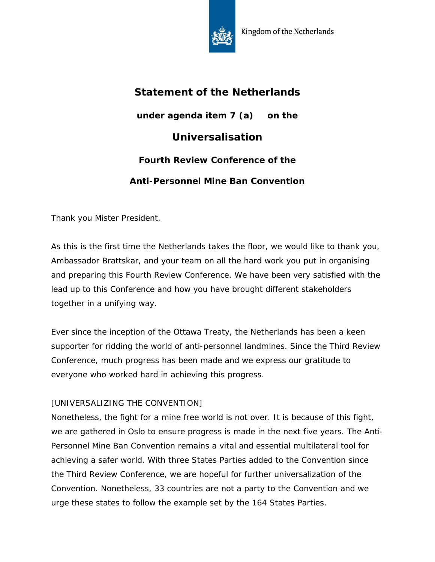

## **Statement of the Netherlands under agenda item 7 (a) on the Universalisation Fourth Review Conference of the Anti-Personnel Mine Ban Convention**

Thank you Mister President,

As this is the first time the Netherlands takes the floor, we would like to thank you, Ambassador Brattskar, and your team on all the hard work you put in organising and preparing this Fourth Review Conference. We have been very satisfied with the lead up to this Conference and how you have brought different stakeholders together in a unifying way.

Ever since the inception of the Ottawa Treaty, the Netherlands has been a keen supporter for ridding the world of anti-personnel landmines. Since the Third Review Conference, much progress has been made and we express our gratitude to everyone who worked hard in achieving this progress.

## [UNIVERSALIZING THE CONVENTION]

Nonetheless, the fight for a mine free world is not over. It is because of this fight, we are gathered in Oslo to ensure progress is made in the next five years. The Anti-Personnel Mine Ban Convention remains a vital and essential multilateral tool for achieving a safer world. With three States Parties added to the Convention since the Third Review Conference, we are hopeful for further universalization of the Convention. Nonetheless, 33 countries are not a party to the Convention and we urge these states to follow the example set by the 164 States Parties.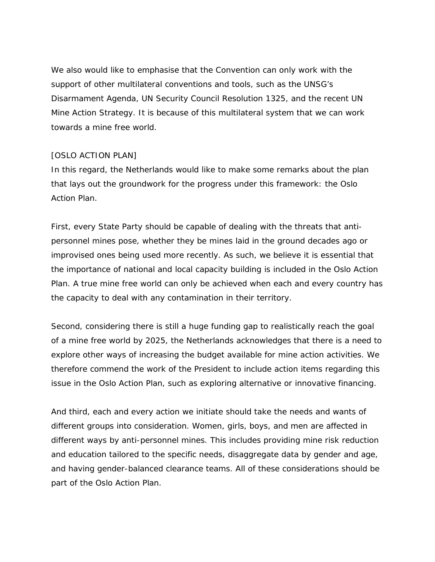We also would like to emphasise that the Convention can only work with the support of other multilateral conventions and tools, such as the UNSG's Disarmament Agenda, UN Security Council Resolution 1325, and the recent UN Mine Action Strategy. It is because of this multilateral system that we can work towards a mine free world.

## [OSLO ACTION PLAN]

In this regard, the Netherlands would like to make some remarks about the plan that lays out the groundwork for the progress under this framework: the Oslo Action Plan.

First, every State Party should be capable of dealing with the threats that antipersonnel mines pose, whether they be mines laid in the ground decades ago or improvised ones being used more recently. As such, we believe it is essential that the importance of national and local capacity building is included in the Oslo Action Plan. A true mine free world can only be achieved when each and every country has the capacity to deal with any contamination in their territory.

Second, considering there is still a huge funding gap to realistically reach the goal of a mine free world by 2025, the Netherlands acknowledges that there is a need to explore other ways of increasing the budget available for mine action activities. We therefore commend the work of the President to include action items regarding this issue in the Oslo Action Plan, such as exploring alternative or innovative financing.

And third, each and every action we initiate should take the needs and wants of different groups into consideration. Women, girls, boys, and men are affected in different ways by anti-personnel mines. This includes providing mine risk reduction and education tailored to the specific needs, disaggregate data by gender and age, and having gender-balanced clearance teams. All of these considerations should be part of the Oslo Action Plan.